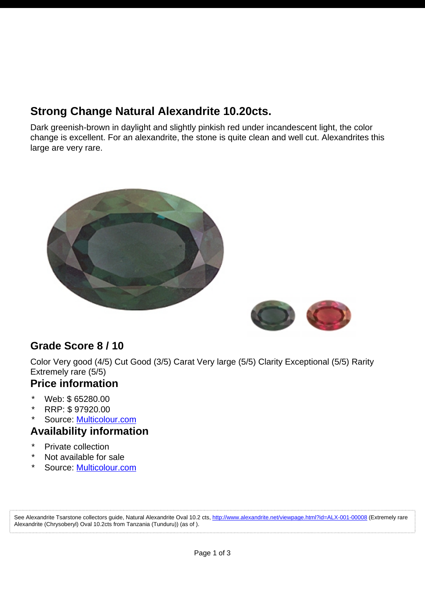# **Strong Change Natural Alexandrite 10.20cts.**

Dark greenish-brown in daylight and slightly pinkish red under incandescent light, the color change is excellent. For an alexandrite, the stone is quite clean and well cut. Alexandrites this large are very rare.





### **Grade Score 8 / 10**

Color Very good (4/5) Cut Good (3/5) Carat Very large (5/5) Clarity Exceptional (5/5) Rarity Extremely rare (5/5)

#### **Price information**

- \* Web: \$ 65280.00
- \* RRP: \$ 97920.00
- Source: [Multicolour.com](http://www.alexandrite.net/directory/gemstone-dealers/multicolour-gems-wdd-003-00001.html)

### **Availability information**

- \* Private collection
- Not available for sale
- Source: [Multicolour.com](http://www.alexandrite.net/directory/gemstone-dealers/multicolour-gems-wdd-003-00001.html)

See Alexandrite Tsarstone collectors guide, Natural Alexandrite Oval 10.2 cts, <http://www.alexandrite.net/viewpage.html?id=ALX-001-00008>(Extremely rare Alexandrite (Chrysoberyl) Oval 10.2cts from Tanzania (Tunduru)) (as of ).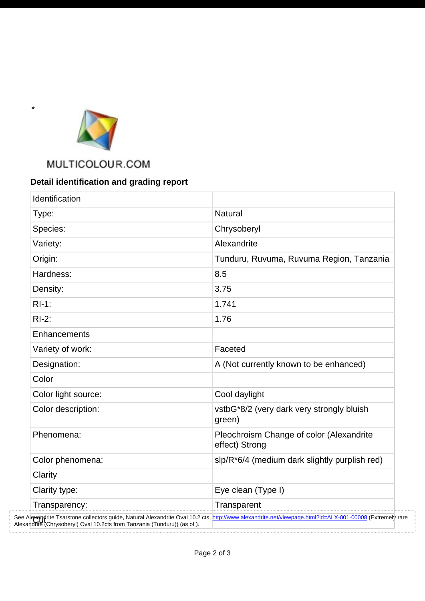

\*

. . . . . . . . .

## MULTICOLOUR.COM

### **Detail identification and grading report**

| Identification      |                                                            |
|---------------------|------------------------------------------------------------|
| Type:               | <b>Natural</b>                                             |
| Species:            | Chrysoberyl                                                |
| Variety:            | Alexandrite                                                |
| Origin:             | Tunduru, Ruvuma, Ruvuma Region, Tanzania                   |
| Hardness:           | 8.5                                                        |
| Density:            | 3.75                                                       |
| $RI-1$ :            | 1.741                                                      |
| $RI-2$ :            | 1.76                                                       |
| Enhancements        |                                                            |
| Variety of work:    | Faceted                                                    |
| Designation:        | A (Not currently known to be enhanced)                     |
| Color               |                                                            |
| Color light source: | Cool daylight                                              |
| Color description:  | vstbG*8/2 (very dark very strongly bluish<br>green)        |
| Phenomena:          | Pleochroism Change of color (Alexandrite<br>effect) Strong |
| Color phenomena:    | slp/R*6/4 (medium dark slightly purplish red)              |
| Clarity             |                                                            |
| Clarity type:       | Eye clean (Type I)                                         |
| Transparency:       | Transparent                                                |